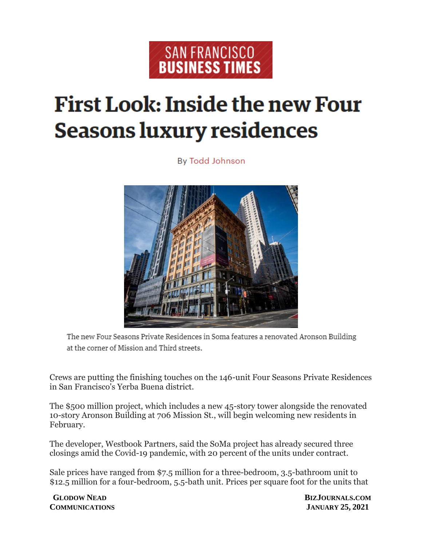

## **First Look: Inside the new Four Seasons luxury residences**

By Todd Johnson



The new Four Seasons Private Residences in Soma features a renovated Aronson Building at the corner of Mission and Third streets.

Crews are putting the finishing touches on the 146-unit Four Seasons Private Residences in San Francisco's Yerba Buena district.

The \$500 million project, which includes a new 45-story tower alongside the renovated 10-story Aronson Building at 706 Mission St., will begin welcoming new residents in February.

The developer, Westbook Partners, said the SoMa project has already secured three closings amid the Covid-19 pandemic, with 20 percent of the units under contract.

Sale prices have ranged from \$7.5 million for a three-bedroom, 3.5-bathroom unit to \$12.5 million for a four-bedroom, 5.5-bath unit. Prices per square foot for the units that

 **GLODOW NEAD BIZJOURNALS.COM COMMUNICATIONS JANUARY 25, 2021**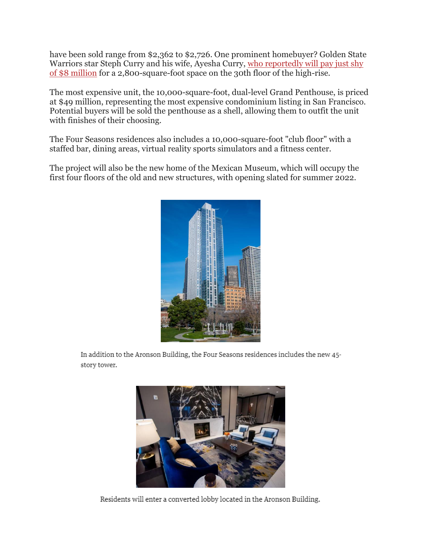have been sold range from \$2,362 to \$2,726. One prominent homebuyer? Golden State Warriors star Steph Curry and his wife, Ayesha Curry, who reportedly will pay just shy [of \\$8 million](https://www.bizjournals.com/sanfrancisco/news/2020/01/22/currys-snap-up-s-f-condo-in-four-seasons-private.html) for a 2,800-square-foot space on the 30th floor of the high-rise.

The most expensive unit, the 10,000-square-foot, dual-level Grand Penthouse, is priced at \$49 million, representing the most expensive condominium listing in San Francisco. Potential buyers will be sold the penthouse as a shell, allowing them to outfit the unit with finishes of their choosing.

The Four Seasons residences also includes a 10,000-square-foot "club floor" with a staffed bar, dining areas, virtual reality sports simulators and a fitness center.

The project will also be the new home of the Mexican Museum, which will occupy the first four floors of the old and new structures, with opening slated for summer 2022.



In addition to the Aronson Building, the Four Seasons residences includes the new 45story tower.



Residents will enter a converted lobby located in the Aronson Building.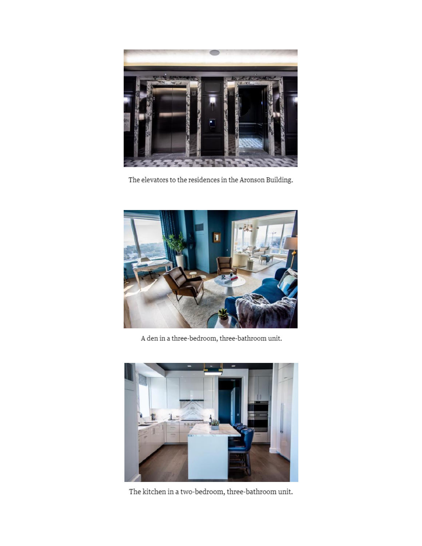

The elevators to the residences in the Aronson Building.



A den in a three-bedroom, three-bathroom unit.



The kitchen in a two-bedroom, three-bathroom unit.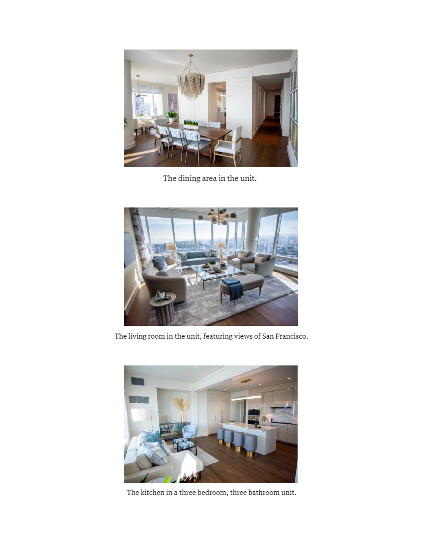

The dining area in the unit.



The living room in the unit, featuring views of San Francisco.



The kitchen in a three bedroom, three bathroom unit.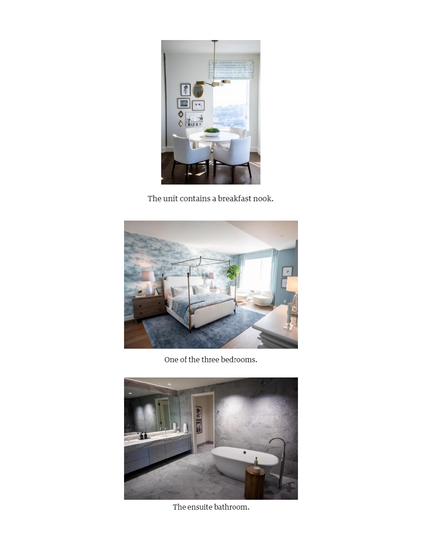

The unit contains a breakfast nook.



One of the three bedrooms.



The ensuite bathroom.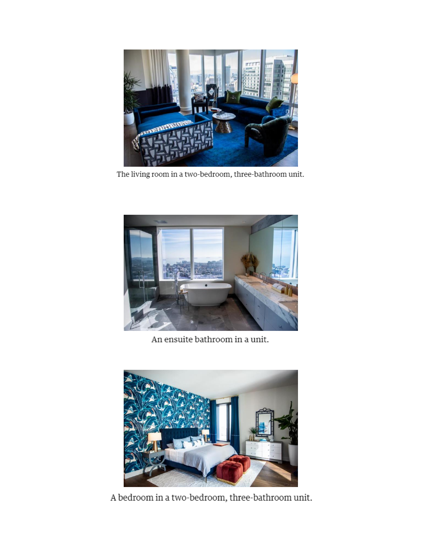

The living room in a two-bedroom, three-bathroom unit.



An ensuite bathroom in a unit.



A bedroom in a two-bedroom, three-bathroom unit.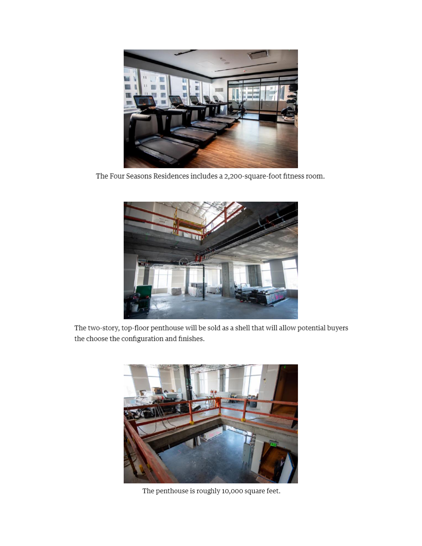

The Four Seasons Residences includes a 2,200-square-foot fitness room.



The two-story, top-floor penthouse will be sold as a shell that will allow potential buyers the choose the configuration and finishes.



The penthouse is roughly 10,000 square feet.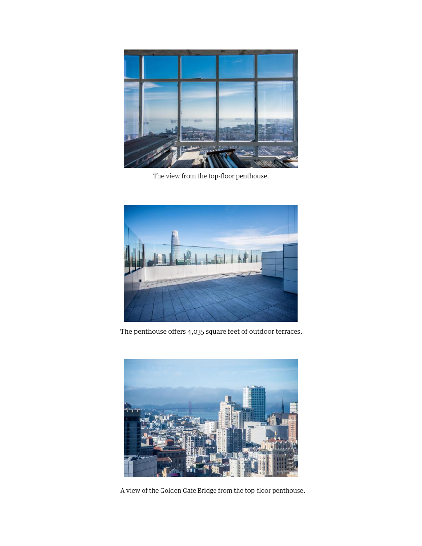

The view from the top-floor penthouse.



The penthouse offers 4,035 square feet of outdoor terraces.



A view of the Golden Gate Bridge from the top-floor penthouse.